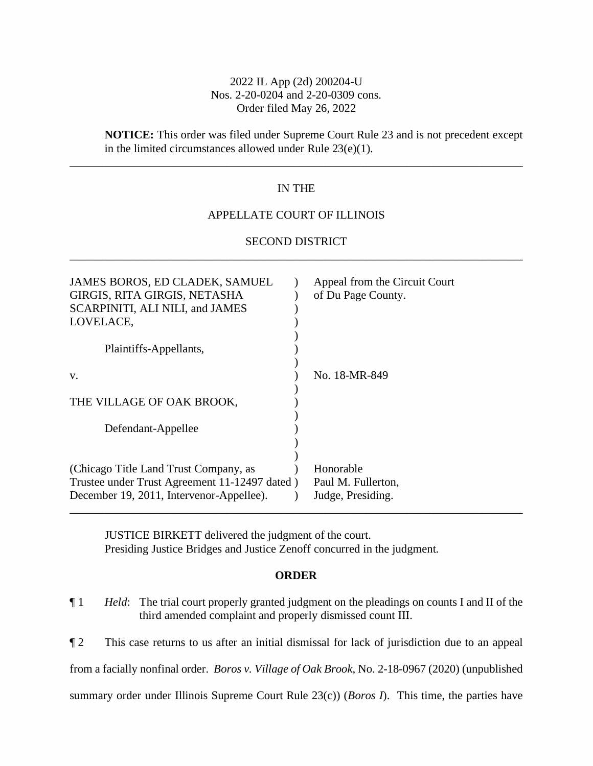# 2022 IL App (2d) 200204-U Nos. 2-20-0204 and 2-20-0309 cons. Order filed May 26, 2022

# **NOTICE:** This order was filed under Supreme Court Rule 23 and is not precedent except in the limited circumstances allowed under Rule 23(e)(1).

# IN THE

\_\_\_\_\_\_\_\_\_\_\_\_\_\_\_\_\_\_\_\_\_\_\_\_\_\_\_\_\_\_\_\_\_\_\_\_\_\_\_\_\_\_\_\_\_\_\_\_\_\_\_\_\_\_\_\_\_\_\_\_\_\_\_\_\_\_\_\_\_\_\_\_\_\_\_\_\_\_

## APPELLATE COURT OF ILLINOIS

# SECOND DISTRICT \_\_\_\_\_\_\_\_\_\_\_\_\_\_\_\_\_\_\_\_\_\_\_\_\_\_\_\_\_\_\_\_\_\_\_\_\_\_\_\_\_\_\_\_\_\_\_\_\_\_\_\_\_\_\_\_\_\_\_\_\_\_\_\_\_\_\_\_\_\_\_\_\_\_\_\_\_\_

| JAMES BOROS, ED CLADEK, SAMUEL<br>GIRGIS, RITA GIRGIS, NETASHA<br>SCARPINITI, ALI NILI, and JAMES<br>LOVELACE,<br>Plaintiffs-Appellants,<br>V. | Appeal from the Circuit Court<br>of Du Page County.<br>No. 18-MR-849 |
|------------------------------------------------------------------------------------------------------------------------------------------------|----------------------------------------------------------------------|
|                                                                                                                                                |                                                                      |
| THE VILLAGE OF OAK BROOK,                                                                                                                      |                                                                      |
| Defendant-Appellee                                                                                                                             |                                                                      |
| (Chicago Title Land Trust Company, as                                                                                                          | Honorable                                                            |
| Trustee under Trust Agreement 11-12497 dated)                                                                                                  | Paul M. Fullerton,                                                   |
| December 19, 2011, Intervenor-Appellee).                                                                                                       | Judge, Presiding.                                                    |

JUSTICE BIRKETT delivered the judgment of the court. Presiding Justice Bridges and Justice Zenoff concurred in the judgment.

## **ORDER**

¶ 1 *Held*: The trial court properly granted judgment on the pleadings on counts I and II of the third amended complaint and properly dismissed count III.

¶ 2 This case returns to us after an initial dismissal for lack of jurisdiction due to an appeal from a facially nonfinal order. *Boros v. Village of Oak Brook*, No. 2-18-0967 (2020) (unpublished summary order under Illinois Supreme Court Rule 23(c)) (*Boros I*). This time, the parties have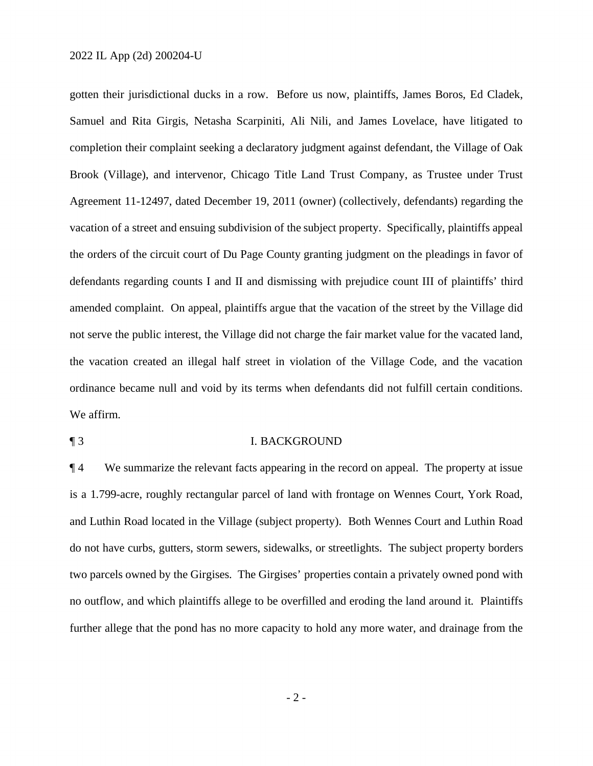gotten their jurisdictional ducks in a row. Before us now, plaintiffs, James Boros, Ed Cladek, Samuel and Rita Girgis, Netasha Scarpiniti, Ali Nili, and James Lovelace, have litigated to completion their complaint seeking a declaratory judgment against defendant, the Village of Oak Brook (Village), and intervenor, Chicago Title Land Trust Company, as Trustee under Trust Agreement 11-12497, dated December 19, 2011 (owner) (collectively, defendants) regarding the vacation of a street and ensuing subdivision of the subject property. Specifically, plaintiffs appeal the orders of the circuit court of Du Page County granting judgment on the pleadings in favor of defendants regarding counts I and II and dismissing with prejudice count III of plaintiffs' third amended complaint. On appeal, plaintiffs argue that the vacation of the street by the Village did not serve the public interest, the Village did not charge the fair market value for the vacated land, the vacation created an illegal half street in violation of the Village Code, and the vacation ordinance became null and void by its terms when defendants did not fulfill certain conditions. We affirm.

### ¶ 3 I. BACKGROUND

¶ 4 We summarize the relevant facts appearing in the record on appeal. The property at issue is a 1.799-acre, roughly rectangular parcel of land with frontage on Wennes Court, York Road, and Luthin Road located in the Village (subject property). Both Wennes Court and Luthin Road do not have curbs, gutters, storm sewers, sidewalks, or streetlights. The subject property borders two parcels owned by the Girgises. The Girgises' properties contain a privately owned pond with no outflow, and which plaintiffs allege to be overfilled and eroding the land around it. Plaintiffs further allege that the pond has no more capacity to hold any more water, and drainage from the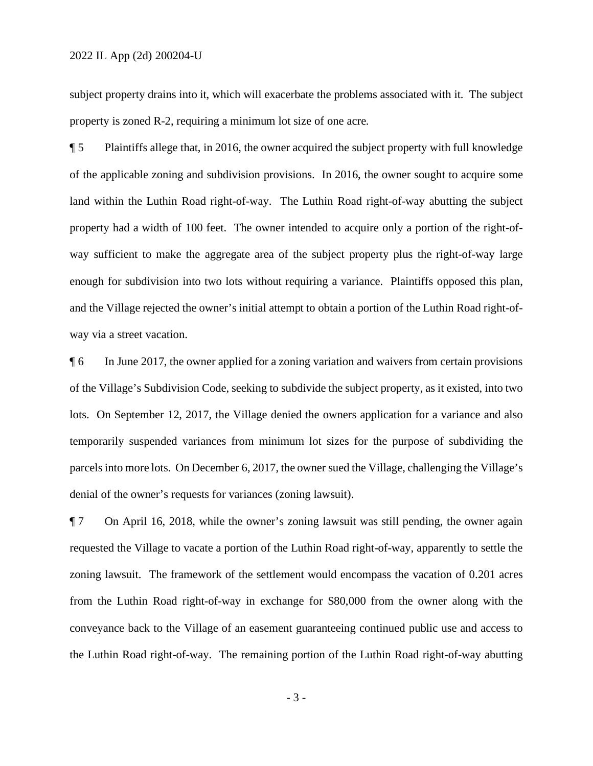subject property drains into it, which will exacerbate the problems associated with it. The subject property is zoned R-2, requiring a minimum lot size of one acre.

¶ 5 Plaintiffs allege that, in 2016, the owner acquired the subject property with full knowledge of the applicable zoning and subdivision provisions. In 2016, the owner sought to acquire some land within the Luthin Road right-of-way. The Luthin Road right-of-way abutting the subject property had a width of 100 feet. The owner intended to acquire only a portion of the right-ofway sufficient to make the aggregate area of the subject property plus the right-of-way large enough for subdivision into two lots without requiring a variance. Plaintiffs opposed this plan, and the Village rejected the owner's initial attempt to obtain a portion of the Luthin Road right-ofway via a street vacation.

¶ 6 In June 2017, the owner applied for a zoning variation and waivers from certain provisions of the Village's Subdivision Code, seeking to subdivide the subject property, as it existed, into two lots. On September 12, 2017, the Village denied the owners application for a variance and also temporarily suspended variances from minimum lot sizes for the purpose of subdividing the parcels into more lots. On December 6, 2017, the owner sued the Village, challenging the Village's denial of the owner's requests for variances (zoning lawsuit).

¶ 7 On April 16, 2018, while the owner's zoning lawsuit was still pending, the owner again requested the Village to vacate a portion of the Luthin Road right-of-way, apparently to settle the zoning lawsuit. The framework of the settlement would encompass the vacation of 0.201 acres from the Luthin Road right-of-way in exchange for \$80,000 from the owner along with the conveyance back to the Village of an easement guaranteeing continued public use and access to the Luthin Road right-of-way. The remaining portion of the Luthin Road right-of-way abutting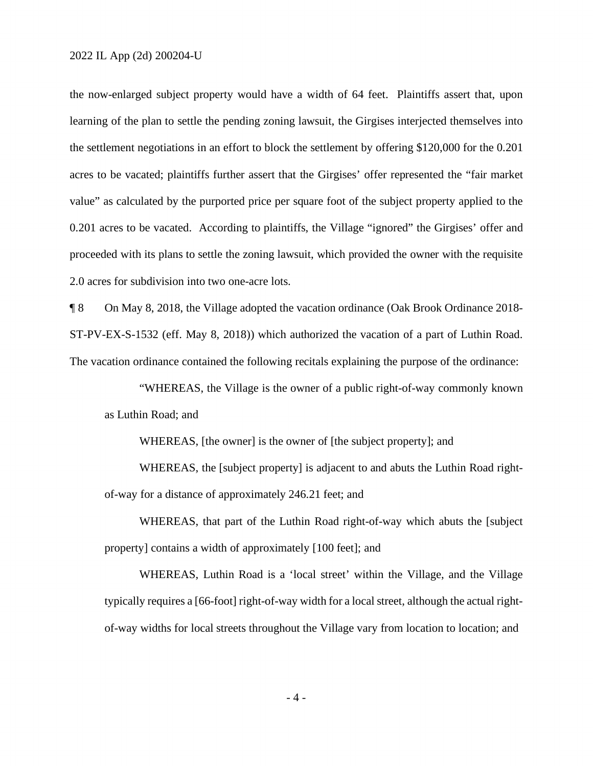the now-enlarged subject property would have a width of 64 feet. Plaintiffs assert that, upon learning of the plan to settle the pending zoning lawsuit, the Girgises interjected themselves into the settlement negotiations in an effort to block the settlement by offering \$120,000 for the 0.201 acres to be vacated; plaintiffs further assert that the Girgises' offer represented the "fair market value" as calculated by the purported price per square foot of the subject property applied to the 0.201 acres to be vacated. According to plaintiffs, the Village "ignored" the Girgises' offer and proceeded with its plans to settle the zoning lawsuit, which provided the owner with the requisite 2.0 acres for subdivision into two one-acre lots.

¶ 8 On May 8, 2018, the Village adopted the vacation ordinance (Oak Brook Ordinance 2018- ST-PV-EX-S-1532 (eff. May 8, 2018)) which authorized the vacation of a part of Luthin Road. The vacation ordinance contained the following recitals explaining the purpose of the ordinance:

"WHEREAS, the Village is the owner of a public right-of-way commonly known as Luthin Road; and

WHEREAS, [the owner] is the owner of [the subject property]; and

WHEREAS, the [subject property] is adjacent to and abuts the Luthin Road rightof-way for a distance of approximately 246.21 feet; and

WHEREAS, that part of the Luthin Road right-of-way which abuts the [subject property] contains a width of approximately [100 feet]; and

WHEREAS, Luthin Road is a 'local street' within the Village, and the Village typically requires a [66-foot] right-of-way width for a local street, although the actual rightof-way widths for local streets throughout the Village vary from location to location; and

- 4 -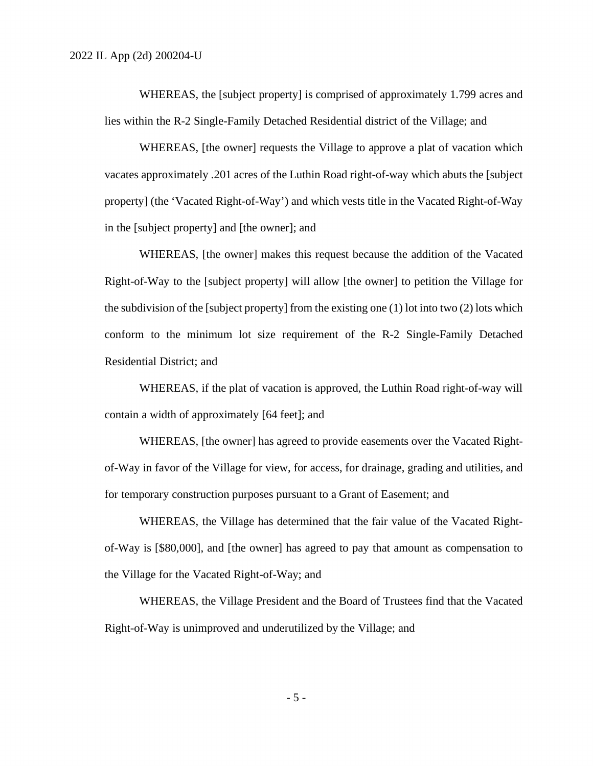WHEREAS, the [subject property] is comprised of approximately 1.799 acres and lies within the R-2 Single-Family Detached Residential district of the Village; and

WHEREAS, [the owner] requests the Village to approve a plat of vacation which vacates approximately .201 acres of the Luthin Road right-of-way which abuts the [subject property] (the 'Vacated Right-of-Way') and which vests title in the Vacated Right-of-Way in the [subject property] and [the owner]; and

WHEREAS, [the owner] makes this request because the addition of the Vacated Right-of-Way to the [subject property] will allow [the owner] to petition the Village for the subdivision of the [subject property] from the existing one (1) lot into two (2) lots which conform to the minimum lot size requirement of the R-2 Single-Family Detached Residential District; and

WHEREAS, if the plat of vacation is approved, the Luthin Road right-of-way will contain a width of approximately [64 feet]; and

WHEREAS, [the owner] has agreed to provide easements over the Vacated Rightof-Way in favor of the Village for view, for access, for drainage, grading and utilities, and for temporary construction purposes pursuant to a Grant of Easement; and

WHEREAS, the Village has determined that the fair value of the Vacated Rightof-Way is [\$80,000], and [the owner] has agreed to pay that amount as compensation to the Village for the Vacated Right-of-Way; and

WHEREAS, the Village President and the Board of Trustees find that the Vacated Right-of-Way is unimproved and underutilized by the Village; and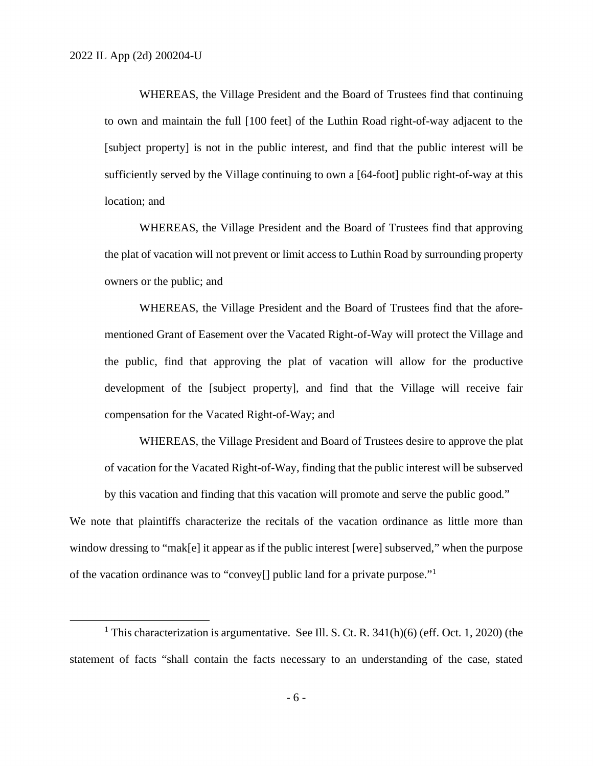WHEREAS, the Village President and the Board of Trustees find that continuing to own and maintain the full [100 feet] of the Luthin Road right-of-way adjacent to the [subject property] is not in the public interest, and find that the public interest will be sufficiently served by the Village continuing to own a [64-foot] public right-of-way at this location; and

WHEREAS, the Village President and the Board of Trustees find that approving the plat of vacation will not prevent or limit access to Luthin Road by surrounding property owners or the public; and

WHEREAS, the Village President and the Board of Trustees find that the aforementioned Grant of Easement over the Vacated Right-of-Way will protect the Village and the public, find that approving the plat of vacation will allow for the productive development of the [subject property], and find that the Village will receive fair compensation for the Vacated Right-of-Way; and

WHEREAS, the Village President and Board of Trustees desire to approve the plat of vacation for the Vacated Right-of-Way, finding that the public interest will be subserved by this vacation and finding that this vacation will promote and serve the public good."

We note that plaintiffs characterize the recitals of the vacation ordinance as little more than window dressing to "mak[e] it appear as if the public interest [were] subserved," when the purpose of the vacation ordinance was to "convey[] public land for a private purpose."<sup>1</sup>

<sup>&</sup>lt;sup>1</sup> This characterization is argumentative. See Ill. S. Ct. R.  $341(h)(6)$  (eff. Oct. 1, 2020) (the statement of facts "shall contain the facts necessary to an understanding of the case, stated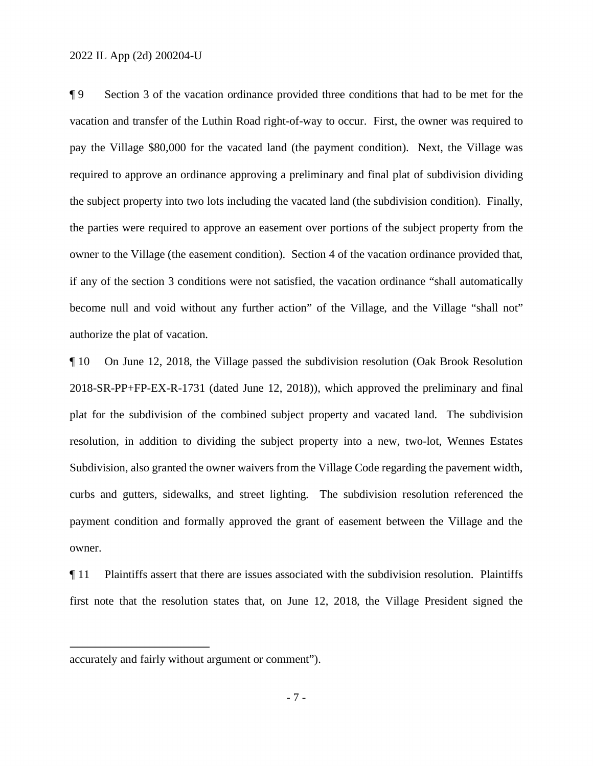¶ 9 Section 3 of the vacation ordinance provided three conditions that had to be met for the vacation and transfer of the Luthin Road right-of-way to occur. First, the owner was required to pay the Village \$80,000 for the vacated land (the payment condition). Next, the Village was required to approve an ordinance approving a preliminary and final plat of subdivision dividing the subject property into two lots including the vacated land (the subdivision condition). Finally, the parties were required to approve an easement over portions of the subject property from the owner to the Village (the easement condition). Section 4 of the vacation ordinance provided that, if any of the section 3 conditions were not satisfied, the vacation ordinance "shall automatically become null and void without any further action" of the Village, and the Village "shall not" authorize the plat of vacation.

¶ 10 On June 12, 2018, the Village passed the subdivision resolution (Oak Brook Resolution 2018-SR-PP+FP-EX-R-1731 (dated June 12, 2018)), which approved the preliminary and final plat for the subdivision of the combined subject property and vacated land. The subdivision resolution, in addition to dividing the subject property into a new, two-lot, Wennes Estates Subdivision, also granted the owner waivers from the Village Code regarding the pavement width, curbs and gutters, sidewalks, and street lighting. The subdivision resolution referenced the payment condition and formally approved the grant of easement between the Village and the owner.

¶ 11 Plaintiffs assert that there are issues associated with the subdivision resolution. Plaintiffs first note that the resolution states that, on June 12, 2018, the Village President signed the

accurately and fairly without argument or comment").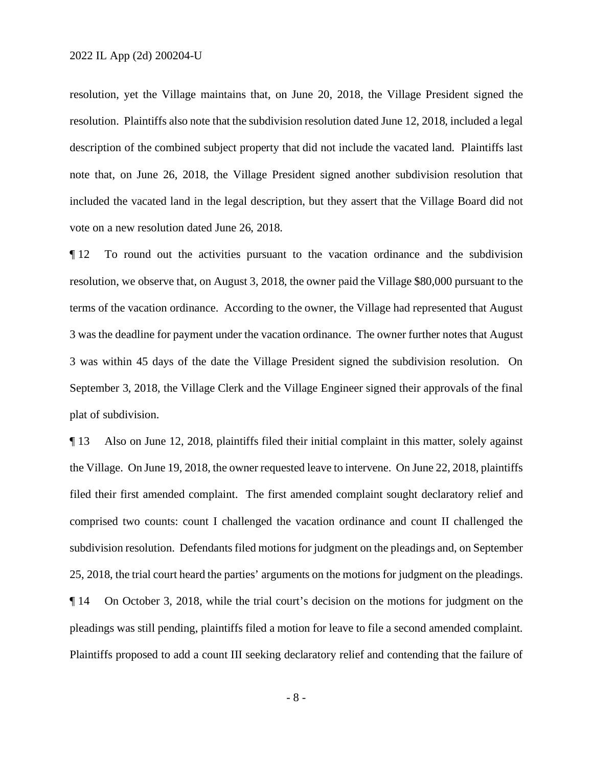resolution, yet the Village maintains that, on June 20, 2018, the Village President signed the resolution. Plaintiffs also note that the subdivision resolution dated June 12, 2018, included a legal description of the combined subject property that did not include the vacated land. Plaintiffs last note that, on June 26, 2018, the Village President signed another subdivision resolution that included the vacated land in the legal description, but they assert that the Village Board did not vote on a new resolution dated June 26, 2018.

¶ 12 To round out the activities pursuant to the vacation ordinance and the subdivision resolution, we observe that, on August 3, 2018, the owner paid the Village \$80,000 pursuant to the terms of the vacation ordinance. According to the owner, the Village had represented that August 3 was the deadline for payment under the vacation ordinance. The owner further notes that August 3 was within 45 days of the date the Village President signed the subdivision resolution. On September 3, 2018, the Village Clerk and the Village Engineer signed their approvals of the final plat of subdivision.

¶ 13 Also on June 12, 2018, plaintiffs filed their initial complaint in this matter, solely against the Village. On June 19, 2018, the owner requested leave to intervene. On June 22, 2018, plaintiffs filed their first amended complaint. The first amended complaint sought declaratory relief and comprised two counts: count I challenged the vacation ordinance and count II challenged the subdivision resolution. Defendants filed motions for judgment on the pleadings and, on September 25, 2018, the trial court heard the parties' arguments on the motions for judgment on the pleadings. ¶ 14 On October 3, 2018, while the trial court's decision on the motions for judgment on the pleadings was still pending, plaintiffs filed a motion for leave to file a second amended complaint. Plaintiffs proposed to add a count III seeking declaratory relief and contending that the failure of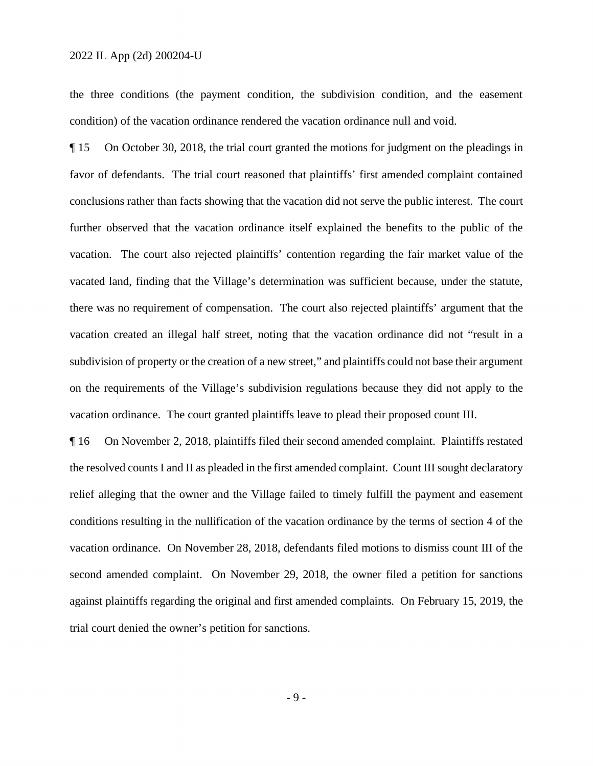the three conditions (the payment condition, the subdivision condition, and the easement condition) of the vacation ordinance rendered the vacation ordinance null and void.

¶ 15 On October 30, 2018, the trial court granted the motions for judgment on the pleadings in favor of defendants. The trial court reasoned that plaintiffs' first amended complaint contained conclusions rather than facts showing that the vacation did not serve the public interest. The court further observed that the vacation ordinance itself explained the benefits to the public of the vacation. The court also rejected plaintiffs' contention regarding the fair market value of the vacated land, finding that the Village's determination was sufficient because, under the statute, there was no requirement of compensation. The court also rejected plaintiffs' argument that the vacation created an illegal half street, noting that the vacation ordinance did not "result in a subdivision of property or the creation of a new street," and plaintiffs could not base their argument on the requirements of the Village's subdivision regulations because they did not apply to the vacation ordinance. The court granted plaintiffs leave to plead their proposed count III.

¶ 16 On November 2, 2018, plaintiffs filed their second amended complaint. Plaintiffs restated the resolved counts I and II as pleaded in the first amended complaint. Count III sought declaratory relief alleging that the owner and the Village failed to timely fulfill the payment and easement conditions resulting in the nullification of the vacation ordinance by the terms of section 4 of the vacation ordinance. On November 28, 2018, defendants filed motions to dismiss count III of the second amended complaint. On November 29, 2018, the owner filed a petition for sanctions against plaintiffs regarding the original and first amended complaints. On February 15, 2019, the trial court denied the owner's petition for sanctions.

- 9 -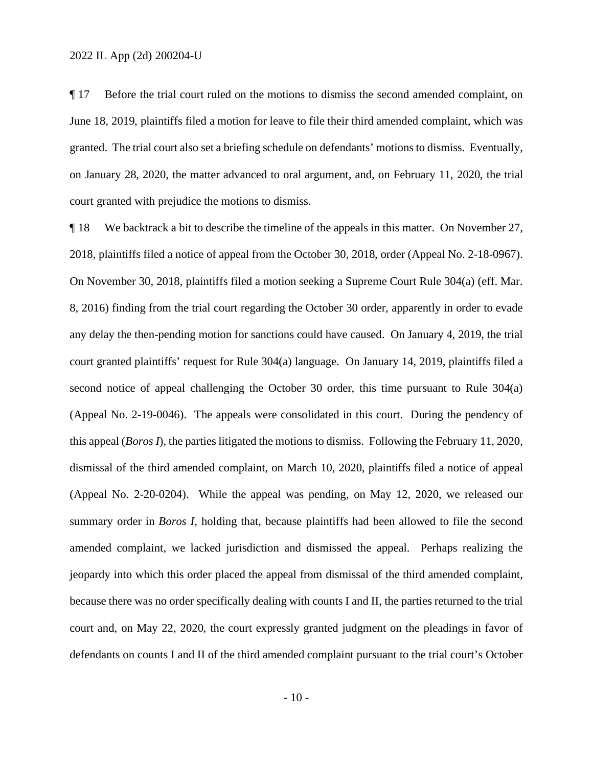¶ 17 Before the trial court ruled on the motions to dismiss the second amended complaint, on June 18, 2019, plaintiffs filed a motion for leave to file their third amended complaint, which was granted. The trial court also set a briefing schedule on defendants' motions to dismiss. Eventually, on January 28, 2020, the matter advanced to oral argument, and, on February 11, 2020, the trial court granted with prejudice the motions to dismiss.

¶ 18 We backtrack a bit to describe the timeline of the appeals in this matter. On November 27, 2018, plaintiffs filed a notice of appeal from the October 30, 2018, order (Appeal No. 2-18-0967). On November 30, 2018, plaintiffs filed a motion seeking a Supreme Court Rule 304(a) (eff. Mar. 8, 2016) finding from the trial court regarding the October 30 order, apparently in order to evade any delay the then-pending motion for sanctions could have caused. On January 4, 2019, the trial court granted plaintiffs' request for Rule 304(a) language. On January 14, 2019, plaintiffs filed a second notice of appeal challenging the October 30 order, this time pursuant to Rule 304(a) (Appeal No. 2-19-0046). The appeals were consolidated in this court. During the pendency of this appeal (*Boros I*), the parties litigated the motions to dismiss. Following the February 11, 2020, dismissal of the third amended complaint, on March 10, 2020, plaintiffs filed a notice of appeal (Appeal No. 2-20-0204). While the appeal was pending, on May 12, 2020, we released our summary order in *Boros I*, holding that, because plaintiffs had been allowed to file the second amended complaint, we lacked jurisdiction and dismissed the appeal. Perhaps realizing the jeopardy into which this order placed the appeal from dismissal of the third amended complaint, because there was no order specifically dealing with counts I and II, the parties returned to the trial court and, on May 22, 2020, the court expressly granted judgment on the pleadings in favor of defendants on counts I and II of the third amended complaint pursuant to the trial court's October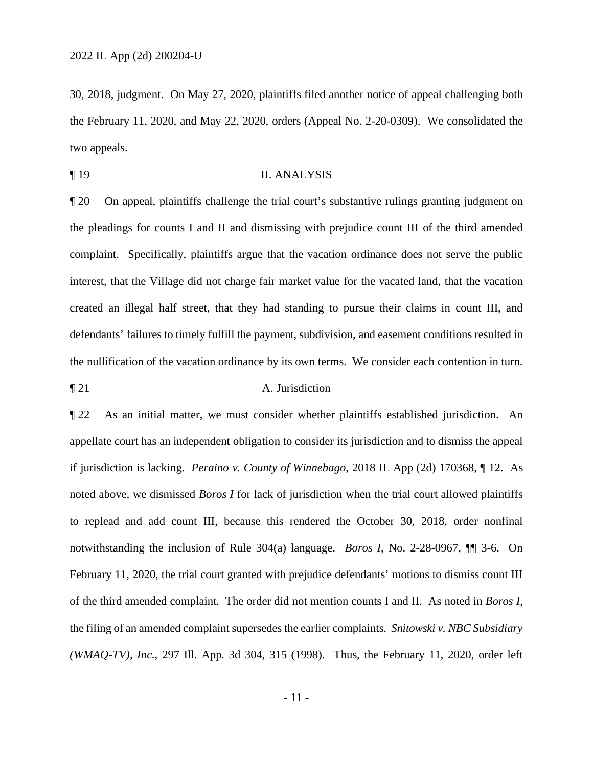30, 2018, judgment. On May 27, 2020, plaintiffs filed another notice of appeal challenging both the February 11, 2020, and May 22, 2020, orders (Appeal No. 2-20-0309). We consolidated the two appeals.

¶ 19 II. ANALYSIS

¶ 20 On appeal, plaintiffs challenge the trial court's substantive rulings granting judgment on the pleadings for counts I and II and dismissing with prejudice count III of the third amended complaint. Specifically, plaintiffs argue that the vacation ordinance does not serve the public interest, that the Village did not charge fair market value for the vacated land, that the vacation created an illegal half street, that they had standing to pursue their claims in count III, and defendants' failures to timely fulfill the payment, subdivision, and easement conditions resulted in the nullification of the vacation ordinance by its own terms. We consider each contention in turn.

## ¶ 21 A. Jurisdiction

¶ 22 As an initial matter, we must consider whether plaintiffs established jurisdiction. An appellate court has an independent obligation to consider its jurisdiction and to dismiss the appeal if jurisdiction is lacking. *Peraino v. County of Winnebago*, 2018 IL App (2d) 170368, ¶ 12. As noted above, we dismissed *Boros I* for lack of jurisdiction when the trial court allowed plaintiffs to replead and add count III, because this rendered the October 30, 2018, order nonfinal notwithstanding the inclusion of Rule 304(a) language. *Boros I*, No. 2-28-0967, ¶¶ 3-6. On February 11, 2020, the trial court granted with prejudice defendants' motions to dismiss count III of the third amended complaint. The order did not mention counts I and II. As noted in *Boros I*, the filing of an amended complaint supersedes the earlier complaints. *Snitowski v. NBC Subsidiary (WMAQ-TV), Inc.*, 297 Ill. App. 3d 304, 315 (1998). Thus, the February 11, 2020, order left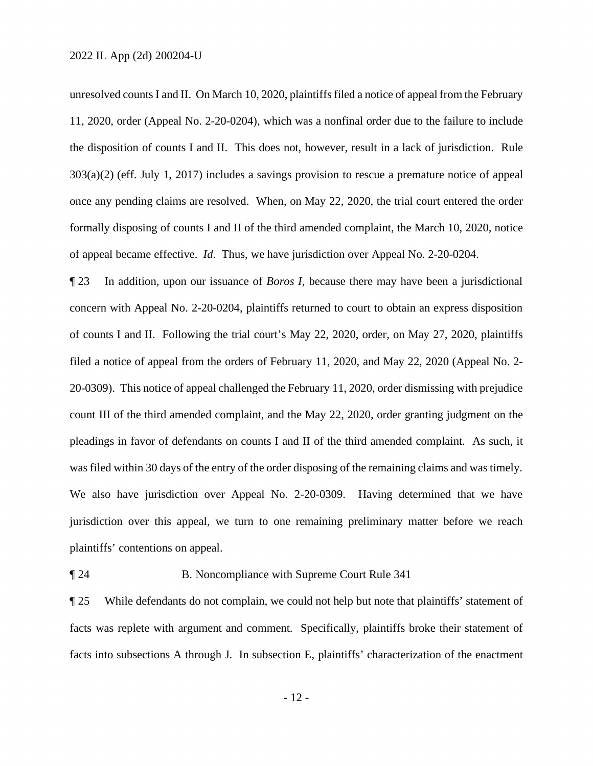unresolved counts I and II. On March 10, 2020, plaintiffs filed a notice of appeal from the February 11, 2020, order (Appeal No. 2-20-0204), which was a nonfinal order due to the failure to include the disposition of counts I and II. This does not, however, result in a lack of jurisdiction. Rule 303(a)(2) (eff. July 1, 2017) includes a savings provision to rescue a premature notice of appeal once any pending claims are resolved. When, on May 22, 2020, the trial court entered the order formally disposing of counts I and II of the third amended complaint, the March 10, 2020, notice of appeal became effective. *Id.* Thus, we have jurisdiction over Appeal No. 2-20-0204.

¶ 23 In addition, upon our issuance of *Boros I*, because there may have been a jurisdictional concern with Appeal No. 2-20-0204, plaintiffs returned to court to obtain an express disposition of counts I and II. Following the trial court's May 22, 2020, order, on May 27, 2020, plaintiffs filed a notice of appeal from the orders of February 11, 2020, and May 22, 2020 (Appeal No. 2- 20-0309). This notice of appeal challenged the February 11, 2020, order dismissing with prejudice count III of the third amended complaint, and the May 22, 2020, order granting judgment on the pleadings in favor of defendants on counts I and II of the third amended complaint. As such, it was filed within 30 days of the entry of the order disposing of the remaining claims and was timely. We also have jurisdiction over Appeal No. 2-20-0309. Having determined that we have jurisdiction over this appeal, we turn to one remaining preliminary matter before we reach plaintiffs' contentions on appeal.

## ¶ 24 B. Noncompliance with Supreme Court Rule 341

¶ 25 While defendants do not complain, we could not help but note that plaintiffs' statement of facts was replete with argument and comment. Specifically, plaintiffs broke their statement of facts into subsections A through J. In subsection E, plaintiffs' characterization of the enactment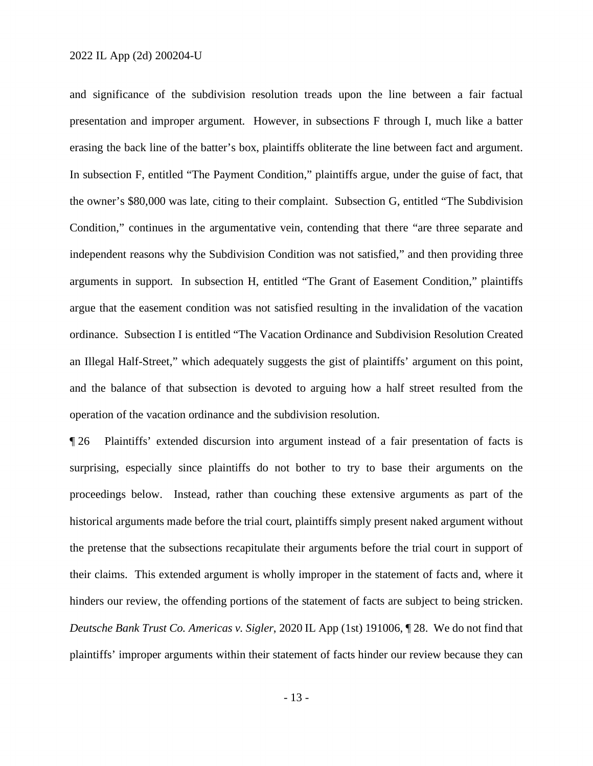and significance of the subdivision resolution treads upon the line between a fair factual presentation and improper argument. However, in subsections F through I, much like a batter erasing the back line of the batter's box, plaintiffs obliterate the line between fact and argument. In subsection F, entitled "The Payment Condition," plaintiffs argue, under the guise of fact, that the owner's \$80,000 was late, citing to their complaint. Subsection G, entitled "The Subdivision Condition," continues in the argumentative vein, contending that there "are three separate and independent reasons why the Subdivision Condition was not satisfied," and then providing three arguments in support. In subsection H, entitled "The Grant of Easement Condition," plaintiffs argue that the easement condition was not satisfied resulting in the invalidation of the vacation ordinance. Subsection I is entitled "The Vacation Ordinance and Subdivision Resolution Created an Illegal Half-Street," which adequately suggests the gist of plaintiffs' argument on this point, and the balance of that subsection is devoted to arguing how a half street resulted from the operation of the vacation ordinance and the subdivision resolution.

¶ 26 Plaintiffs' extended discursion into argument instead of a fair presentation of facts is surprising, especially since plaintiffs do not bother to try to base their arguments on the proceedings below. Instead, rather than couching these extensive arguments as part of the historical arguments made before the trial court, plaintiffs simply present naked argument without the pretense that the subsections recapitulate their arguments before the trial court in support of their claims. This extended argument is wholly improper in the statement of facts and, where it hinders our review, the offending portions of the statement of facts are subject to being stricken. *Deutsche Bank Trust Co. Americas v. Sigler*, 2020 IL App (1st) 191006, ¶ 28. We do not find that plaintiffs' improper arguments within their statement of facts hinder our review because they can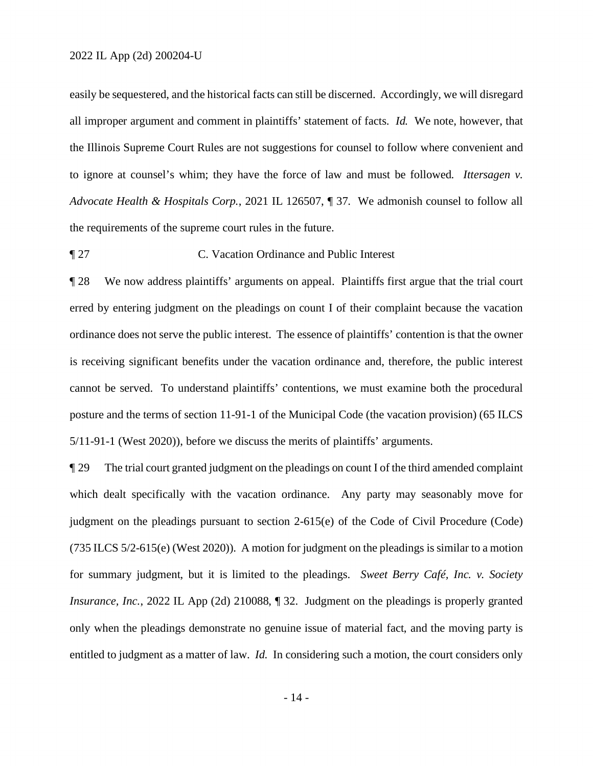easily be sequestered, and the historical facts can still be discerned. Accordingly, we will disregard all improper argument and comment in plaintiffs' statement of facts. *Id.* We note, however, that the Illinois Supreme Court Rules are not suggestions for counsel to follow where convenient and to ignore at counsel's whim; they have the force of law and must be followed. *Ittersagen v. Advocate Health & Hospitals Corp.*, 2021 IL 126507, ¶ 37. We admonish counsel to follow all the requirements of the supreme court rules in the future.

¶ 27 C. Vacation Ordinance and Public Interest

¶ 28 We now address plaintiffs' arguments on appeal. Plaintiffs first argue that the trial court erred by entering judgment on the pleadings on count I of their complaint because the vacation ordinance does not serve the public interest. The essence of plaintiffs' contention is that the owner is receiving significant benefits under the vacation ordinance and, therefore, the public interest cannot be served. To understand plaintiffs' contentions, we must examine both the procedural posture and the terms of section 11-91-1 of the Municipal Code (the vacation provision) (65 ILCS 5/11-91-1 (West 2020)), before we discuss the merits of plaintiffs' arguments.

¶ 29 The trial court granted judgment on the pleadings on count I of the third amended complaint which dealt specifically with the vacation ordinance. Any party may seasonably move for judgment on the pleadings pursuant to section 2-615(e) of the Code of Civil Procedure (Code) (735 ILCS 5/2-615(e) (West 2020)). A motion for judgment on the pleadings is similar to a motion for summary judgment, but it is limited to the pleadings. *Sweet Berry Café, Inc. v. Society Insurance, Inc.*, 2022 IL App (2d) 210088, 1 32. Judgment on the pleadings is properly granted only when the pleadings demonstrate no genuine issue of material fact, and the moving party is entitled to judgment as a matter of law. *Id.* In considering such a motion, the court considers only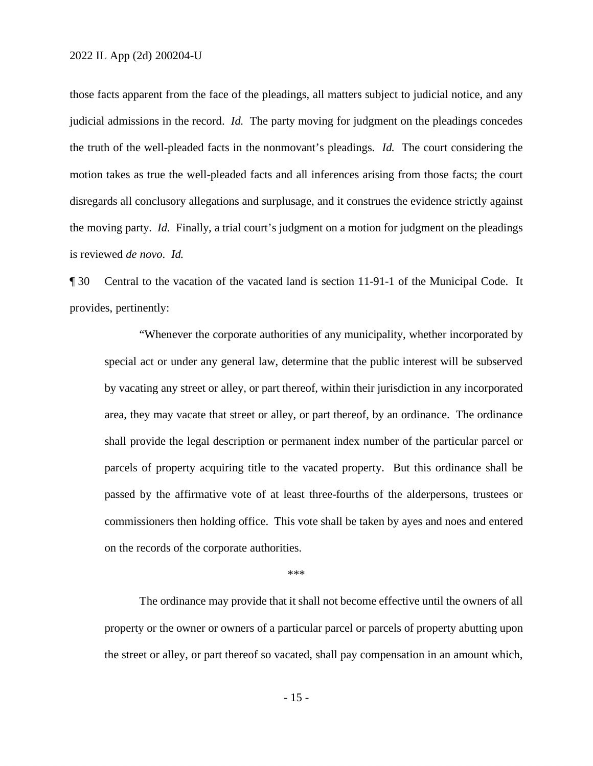those facts apparent from the face of the pleadings, all matters subject to judicial notice, and any judicial admissions in the record. *Id.* The party moving for judgment on the pleadings concedes the truth of the well-pleaded facts in the nonmovant's pleadings. *Id.* The court considering the motion takes as true the well-pleaded facts and all inferences arising from those facts; the court disregards all conclusory allegations and surplusage, and it construes the evidence strictly against the moving party. *Id.* Finally, a trial court's judgment on a motion for judgment on the pleadings is reviewed *de novo*. *Id.*

¶ 30 Central to the vacation of the vacated land is section 11-91-1 of the Municipal Code. It provides, pertinently:

 "Whenever the corporate authorities of any municipality, whether incorporated by special act or under any general law, determine that the public interest will be subserved by vacating any street or alley, or part thereof, within their jurisdiction in any incorporated area, they may vacate that street or alley, or part thereof, by an ordinance. The ordinance shall provide the legal description or permanent index number of the particular parcel or parcels of property acquiring title to the vacated property. But this ordinance shall be passed by the affirmative vote of at least three-fourths of the alderpersons, trustees or commissioners then holding office. This vote shall be taken by ayes and noes and entered on the records of the corporate authorities.

\*\*\*

The ordinance may provide that it shall not become effective until the owners of all property or the owner or owners of a particular parcel or parcels of property abutting upon the street or alley, or part thereof so vacated, shall pay compensation in an amount which,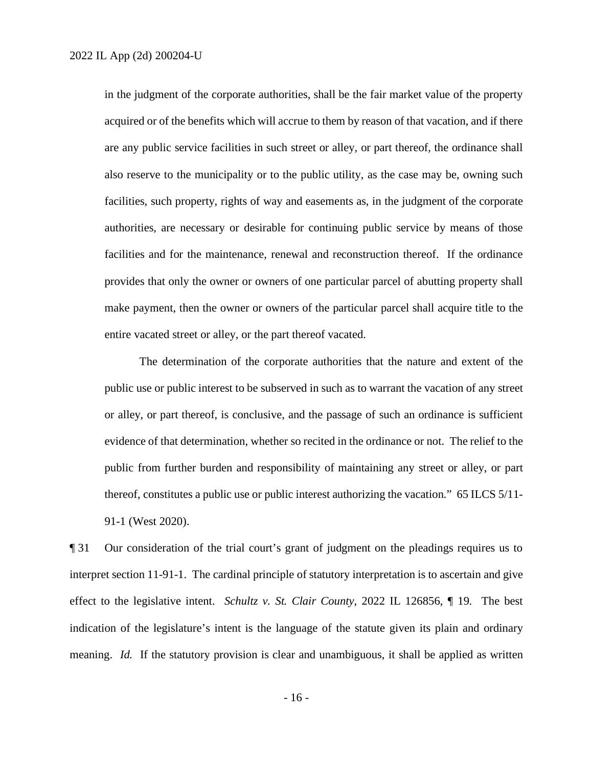in the judgment of the corporate authorities, shall be the fair market value of the property acquired or of the benefits which will accrue to them by reason of that vacation, and if there are any public service facilities in such street or alley, or part thereof, the ordinance shall also reserve to the municipality or to the public utility, as the case may be, owning such facilities, such property, rights of way and easements as, in the judgment of the corporate authorities, are necessary or desirable for continuing public service by means of those facilities and for the maintenance, renewal and reconstruction thereof. If the ordinance provides that only the owner or owners of one particular parcel of abutting property shall make payment, then the owner or owners of the particular parcel shall acquire title to the entire vacated street or alley, or the part thereof vacated.

The determination of the corporate authorities that the nature and extent of the public use or public interest to be subserved in such as to warrant the vacation of any street or alley, or part thereof, is conclusive, and the passage of such an ordinance is sufficient evidence of that determination, whether so recited in the ordinance or not. The relief to the public from further burden and responsibility of maintaining any street or alley, or part thereof, constitutes a public use or public interest authorizing the vacation." 65 ILCS 5/11- 91-1 (West 2020).

¶ 31 Our consideration of the trial court's grant of judgment on the pleadings requires us to interpret section 11-91-1. The cardinal principle of statutory interpretation is to ascertain and give effect to the legislative intent. *Schultz v. St. Clair County*, 2022 IL 126856, ¶ 19. The best indication of the legislature's intent is the language of the statute given its plain and ordinary meaning. *Id.* If the statutory provision is clear and unambiguous, it shall be applied as written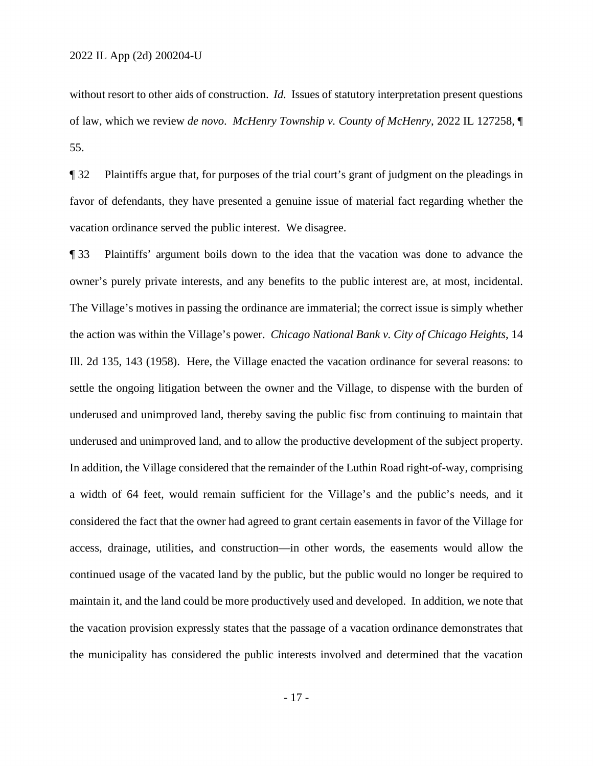without resort to other aids of construction. *Id.* Issues of statutory interpretation present questions of law, which we review *de novo*. *McHenry Township v. County of McHenry*, 2022 IL 127258, ¶ 55.

¶ 32 Plaintiffs argue that, for purposes of the trial court's grant of judgment on the pleadings in favor of defendants, they have presented a genuine issue of material fact regarding whether the vacation ordinance served the public interest. We disagree.

¶ 33 Plaintiffs' argument boils down to the idea that the vacation was done to advance the owner's purely private interests, and any benefits to the public interest are, at most, incidental. The Village's motives in passing the ordinance are immaterial; the correct issue is simply whether the action was within the Village's power. *Chicago National Bank v. City of Chicago Heights*, 14 Ill. 2d 135, 143 (1958). Here, the Village enacted the vacation ordinance for several reasons: to settle the ongoing litigation between the owner and the Village, to dispense with the burden of underused and unimproved land, thereby saving the public fisc from continuing to maintain that underused and unimproved land, and to allow the productive development of the subject property. In addition, the Village considered that the remainder of the Luthin Road right-of-way, comprising a width of 64 feet, would remain sufficient for the Village's and the public's needs, and it considered the fact that the owner had agreed to grant certain easements in favor of the Village for access, drainage, utilities, and construction—in other words, the easements would allow the continued usage of the vacated land by the public, but the public would no longer be required to maintain it, and the land could be more productively used and developed. In addition, we note that the vacation provision expressly states that the passage of a vacation ordinance demonstrates that the municipality has considered the public interests involved and determined that the vacation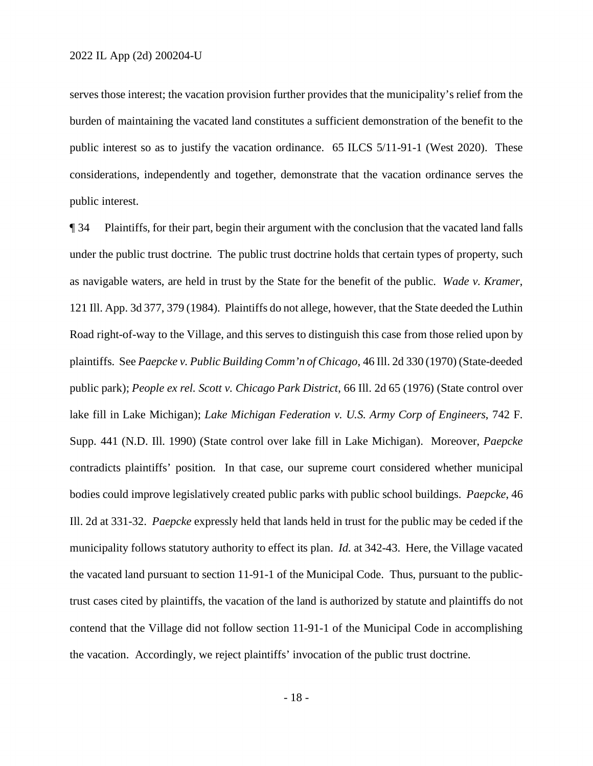serves those interest; the vacation provision further provides that the municipality's relief from the burden of maintaining the vacated land constitutes a sufficient demonstration of the benefit to the public interest so as to justify the vacation ordinance. 65 ILCS 5/11-91-1 (West 2020). These considerations, independently and together, demonstrate that the vacation ordinance serves the public interest.

¶ 34 Plaintiffs, for their part, begin their argument with the conclusion that the vacated land falls under the public trust doctrine. The public trust doctrine holds that certain types of property, such as navigable waters, are held in trust by the State for the benefit of the public. *Wade v. Kramer*, 121 Ill. App. 3d 377, 379 (1984). Plaintiffs do not allege, however, that the State deeded the Luthin Road right-of-way to the Village, and this serves to distinguish this case from those relied upon by plaintiffs. See *Paepcke v. Public Building Comm'n of Chicago*, 46 Ill. 2d 330 (1970) (State-deeded public park); *People ex rel. Scott v. Chicago Park District*, 66 Ill. 2d 65 (1976) (State control over lake fill in Lake Michigan); *Lake Michigan Federation v. U.S. Army Corp of Engineers*, 742 F. Supp. 441 (N.D. Ill. 1990) (State control over lake fill in Lake Michigan). Moreover, *Paepcke* contradicts plaintiffs' position. In that case, our supreme court considered whether municipal bodies could improve legislatively created public parks with public school buildings. *Paepcke*, 46 Ill. 2d at 331-32. *Paepcke* expressly held that lands held in trust for the public may be ceded if the municipality follows statutory authority to effect its plan. *Id.* at 342-43. Here, the Village vacated the vacated land pursuant to section 11-91-1 of the Municipal Code. Thus, pursuant to the publictrust cases cited by plaintiffs, the vacation of the land is authorized by statute and plaintiffs do not contend that the Village did not follow section 11-91-1 of the Municipal Code in accomplishing the vacation. Accordingly, we reject plaintiffs' invocation of the public trust doctrine.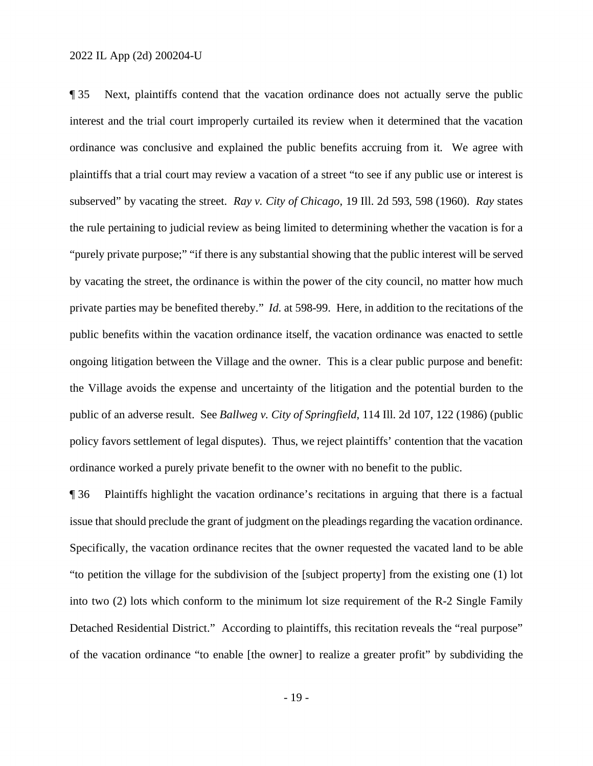¶ 35 Next, plaintiffs contend that the vacation ordinance does not actually serve the public interest and the trial court improperly curtailed its review when it determined that the vacation ordinance was conclusive and explained the public benefits accruing from it. We agree with plaintiffs that a trial court may review a vacation of a street "to see if any public use or interest is subserved" by vacating the street. *Ray v. City of Chicago*, 19 Ill. 2d 593, 598 (1960). *Ray* states the rule pertaining to judicial review as being limited to determining whether the vacation is for a "purely private purpose;" "if there is any substantial showing that the public interest will be served by vacating the street, the ordinance is within the power of the city council, no matter how much private parties may be benefited thereby." *Id.* at 598-99. Here, in addition to the recitations of the public benefits within the vacation ordinance itself, the vacation ordinance was enacted to settle ongoing litigation between the Village and the owner. This is a clear public purpose and benefit: the Village avoids the expense and uncertainty of the litigation and the potential burden to the public of an adverse result. See *Ballweg v. City of Springfield*, 114 Ill. 2d 107, 122 (1986) (public policy favors settlement of legal disputes). Thus, we reject plaintiffs' contention that the vacation ordinance worked a purely private benefit to the owner with no benefit to the public.

¶ 36 Plaintiffs highlight the vacation ordinance's recitations in arguing that there is a factual issue that should preclude the grant of judgment on the pleadings regarding the vacation ordinance. Specifically, the vacation ordinance recites that the owner requested the vacated land to be able "to petition the village for the subdivision of the [subject property] from the existing one (1) lot into two (2) lots which conform to the minimum lot size requirement of the R-2 Single Family Detached Residential District." According to plaintiffs, this recitation reveals the "real purpose" of the vacation ordinance "to enable [the owner] to realize a greater profit" by subdividing the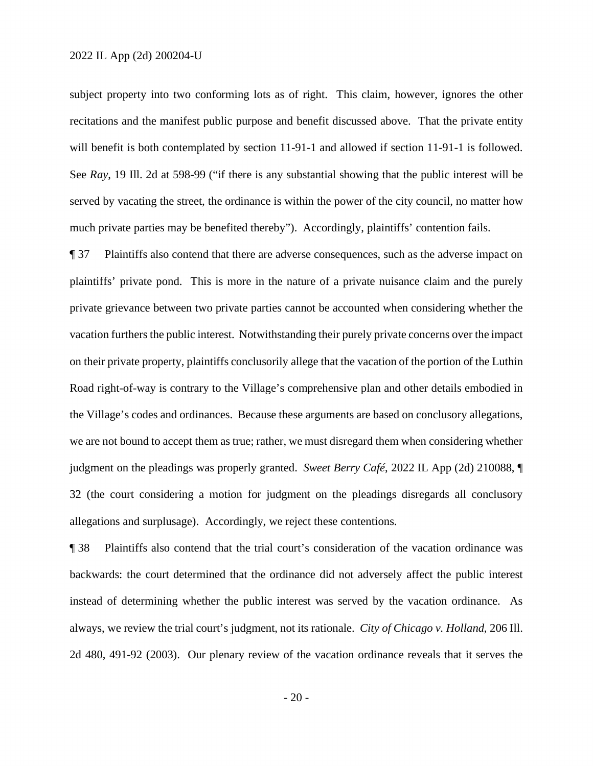subject property into two conforming lots as of right. This claim, however, ignores the other recitations and the manifest public purpose and benefit discussed above. That the private entity will benefit is both contemplated by section 11-91-1 and allowed if section 11-91-1 is followed. See *Ray*, 19 Ill. 2d at 598-99 ("if there is any substantial showing that the public interest will be served by vacating the street, the ordinance is within the power of the city council, no matter how much private parties may be benefited thereby"). Accordingly, plaintiffs' contention fails.

¶ 37 Plaintiffs also contend that there are adverse consequences, such as the adverse impact on plaintiffs' private pond. This is more in the nature of a private nuisance claim and the purely private grievance between two private parties cannot be accounted when considering whether the vacation furthers the public interest. Notwithstanding their purely private concerns over the impact on their private property, plaintiffs conclusorily allege that the vacation of the portion of the Luthin Road right-of-way is contrary to the Village's comprehensive plan and other details embodied in the Village's codes and ordinances. Because these arguments are based on conclusory allegations, we are not bound to accept them as true; rather, we must disregard them when considering whether judgment on the pleadings was properly granted. *Sweet Berry Café*, 2022 IL App (2d) 210088, ¶ 32 (the court considering a motion for judgment on the pleadings disregards all conclusory allegations and surplusage). Accordingly, we reject these contentions.

¶ 38 Plaintiffs also contend that the trial court's consideration of the vacation ordinance was backwards: the court determined that the ordinance did not adversely affect the public interest instead of determining whether the public interest was served by the vacation ordinance. As always, we review the trial court's judgment, not its rationale. *City of Chicago v. Holland*, 206 Ill. 2d 480, 491-92 (2003). Our plenary review of the vacation ordinance reveals that it serves the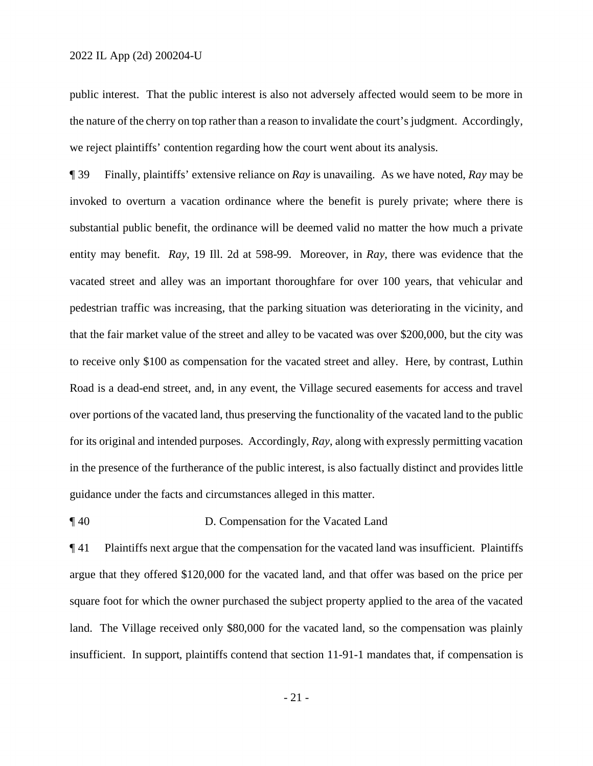public interest. That the public interest is also not adversely affected would seem to be more in the nature of the cherry on top rather than a reason to invalidate the court's judgment. Accordingly, we reject plaintiffs' contention regarding how the court went about its analysis.

¶ 39 Finally, plaintiffs' extensive reliance on *Ray* is unavailing. As we have noted, *Ray* may be invoked to overturn a vacation ordinance where the benefit is purely private; where there is substantial public benefit, the ordinance will be deemed valid no matter the how much a private entity may benefit. *Ray*, 19 Ill. 2d at 598-99. Moreover, in *Ray*, there was evidence that the vacated street and alley was an important thoroughfare for over 100 years, that vehicular and pedestrian traffic was increasing, that the parking situation was deteriorating in the vicinity, and that the fair market value of the street and alley to be vacated was over \$200,000, but the city was to receive only \$100 as compensation for the vacated street and alley. Here, by contrast, Luthin Road is a dead-end street, and, in any event, the Village secured easements for access and travel over portions of the vacated land, thus preserving the functionality of the vacated land to the public for its original and intended purposes. Accordingly, *Ray*, along with expressly permitting vacation in the presence of the furtherance of the public interest, is also factually distinct and provides little guidance under the facts and circumstances alleged in this matter.

# ¶ 40 D. Compensation for the Vacated Land

¶ 41 Plaintiffs next argue that the compensation for the vacated land was insufficient. Plaintiffs argue that they offered \$120,000 for the vacated land, and that offer was based on the price per square foot for which the owner purchased the subject property applied to the area of the vacated land. The Village received only \$80,000 for the vacated land, so the compensation was plainly insufficient. In support, plaintiffs contend that section 11-91-1 mandates that, if compensation is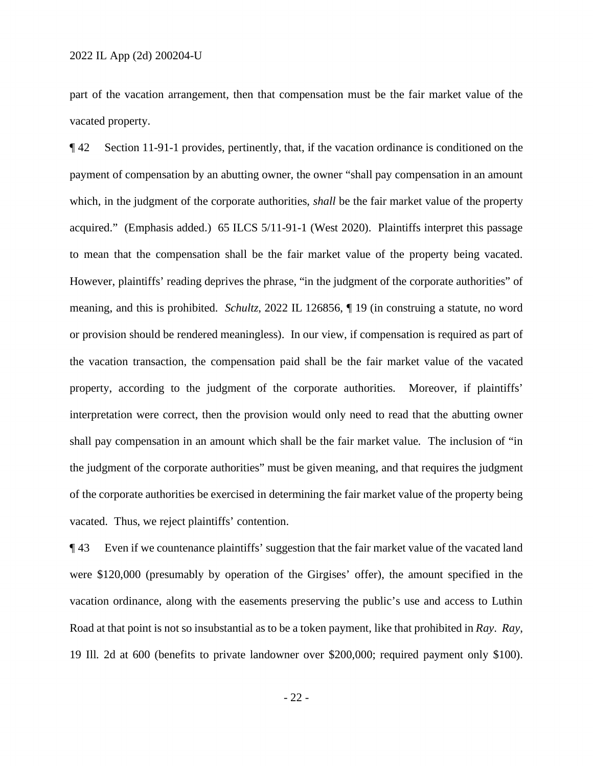part of the vacation arrangement, then that compensation must be the fair market value of the vacated property.

¶ 42 Section 11-91-1 provides, pertinently, that, if the vacation ordinance is conditioned on the payment of compensation by an abutting owner, the owner "shall pay compensation in an amount which, in the judgment of the corporate authorities, *shall* be the fair market value of the property acquired." (Emphasis added.) 65 ILCS 5/11-91-1 (West 2020). Plaintiffs interpret this passage to mean that the compensation shall be the fair market value of the property being vacated. However, plaintiffs' reading deprives the phrase, "in the judgment of the corporate authorities" of meaning, and this is prohibited. *Schultz*, 2022 IL 126856, ¶ 19 (in construing a statute, no word or provision should be rendered meaningless). In our view, if compensation is required as part of the vacation transaction, the compensation paid shall be the fair market value of the vacated property, according to the judgment of the corporate authorities. Moreover, if plaintiffs' interpretation were correct, then the provision would only need to read that the abutting owner shall pay compensation in an amount which shall be the fair market value. The inclusion of "in the judgment of the corporate authorities" must be given meaning, and that requires the judgment of the corporate authorities be exercised in determining the fair market value of the property being vacated. Thus, we reject plaintiffs' contention.

¶ 43 Even if we countenance plaintiffs' suggestion that the fair market value of the vacated land were \$120,000 (presumably by operation of the Girgises' offer), the amount specified in the vacation ordinance, along with the easements preserving the public's use and access to Luthin Road at that point is not so insubstantial as to be a token payment, like that prohibited in *Ray*. *Ray*, 19 Ill. 2d at 600 (benefits to private landowner over \$200,000; required payment only \$100).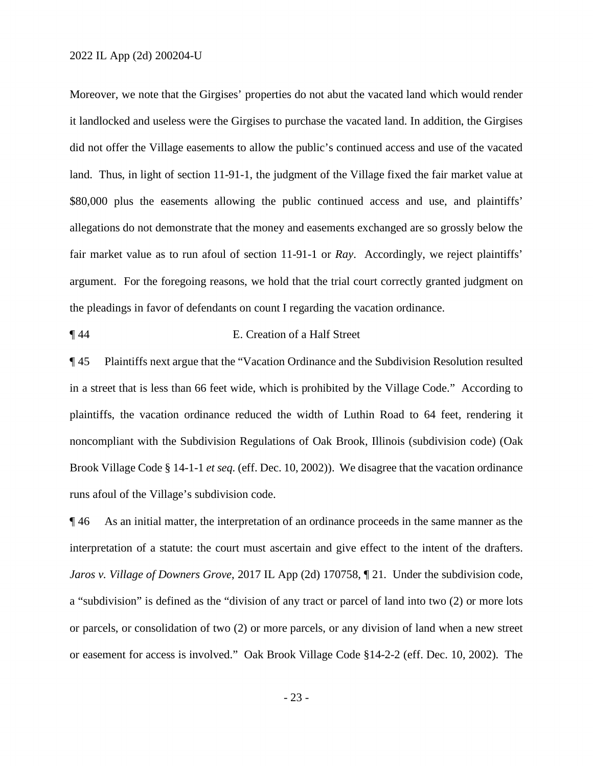Moreover, we note that the Girgises' properties do not abut the vacated land which would render it landlocked and useless were the Girgises to purchase the vacated land. In addition, the Girgises did not offer the Village easements to allow the public's continued access and use of the vacated land. Thus, in light of section 11-91-1, the judgment of the Village fixed the fair market value at \$80,000 plus the easements allowing the public continued access and use, and plaintiffs' allegations do not demonstrate that the money and easements exchanged are so grossly below the fair market value as to run afoul of section 11-91-1 or *Ray*. Accordingly, we reject plaintiffs' argument. For the foregoing reasons, we hold that the trial court correctly granted judgment on the pleadings in favor of defendants on count I regarding the vacation ordinance.

¶ 44 E. Creation of a Half Street

¶ 45 Plaintiffs next argue that the "Vacation Ordinance and the Subdivision Resolution resulted in a street that is less than 66 feet wide, which is prohibited by the Village Code." According to plaintiffs, the vacation ordinance reduced the width of Luthin Road to 64 feet, rendering it noncompliant with the Subdivision Regulations of Oak Brook, Illinois (subdivision code) (Oak Brook Village Code § 14-1-1 *et seq.* (eff. Dec. 10, 2002)). We disagree that the vacation ordinance runs afoul of the Village's subdivision code.

¶ 46 As an initial matter, the interpretation of an ordinance proceeds in the same manner as the interpretation of a statute: the court must ascertain and give effect to the intent of the drafters. *Jaros v. Village of Downers Grove*, 2017 IL App (2d) 170758,  $\parallel$  21. Under the subdivision code, a "subdivision" is defined as the "division of any tract or parcel of land into two (2) or more lots or parcels, or consolidation of two (2) or more parcels, or any division of land when a new street or easement for access is involved." Oak Brook Village Code §14-2-2 (eff. Dec. 10, 2002). The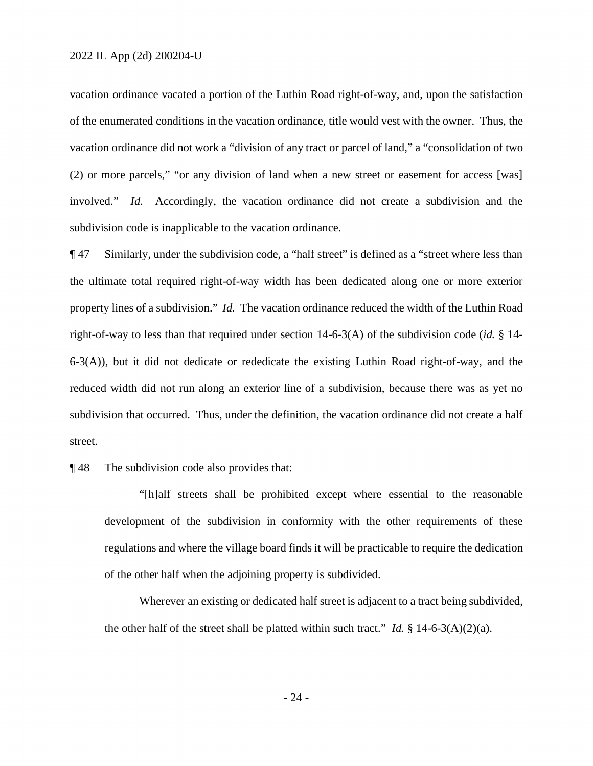vacation ordinance vacated a portion of the Luthin Road right-of-way, and, upon the satisfaction of the enumerated conditions in the vacation ordinance, title would vest with the owner. Thus, the vacation ordinance did not work a "division of any tract or parcel of land," a "consolidation of two (2) or more parcels," "or any division of land when a new street or easement for access [was] involved." *Id.* Accordingly, the vacation ordinance did not create a subdivision and the subdivision code is inapplicable to the vacation ordinance.

¶ 47 Similarly, under the subdivision code, a "half street" is defined as a "street where less than the ultimate total required right-of-way width has been dedicated along one or more exterior property lines of a subdivision." *Id.* The vacation ordinance reduced the width of the Luthin Road right-of-way to less than that required under section 14-6-3(A) of the subdivision code (*id.* § 14- 6-3(A)), but it did not dedicate or rededicate the existing Luthin Road right-of-way, and the reduced width did not run along an exterior line of a subdivision, because there was as yet no subdivision that occurred. Thus, under the definition, the vacation ordinance did not create a half street.

## ¶ 48 The subdivision code also provides that:

 "[h]alf streets shall be prohibited except where essential to the reasonable development of the subdivision in conformity with the other requirements of these regulations and where the village board finds it will be practicable to require the dedication of the other half when the adjoining property is subdivided.

Wherever an existing or dedicated half street is adjacent to a tract being subdivided, the other half of the street shall be platted within such tract." *Id.*  $\frac{8}{3}$  14-6-3(A)(2)(a).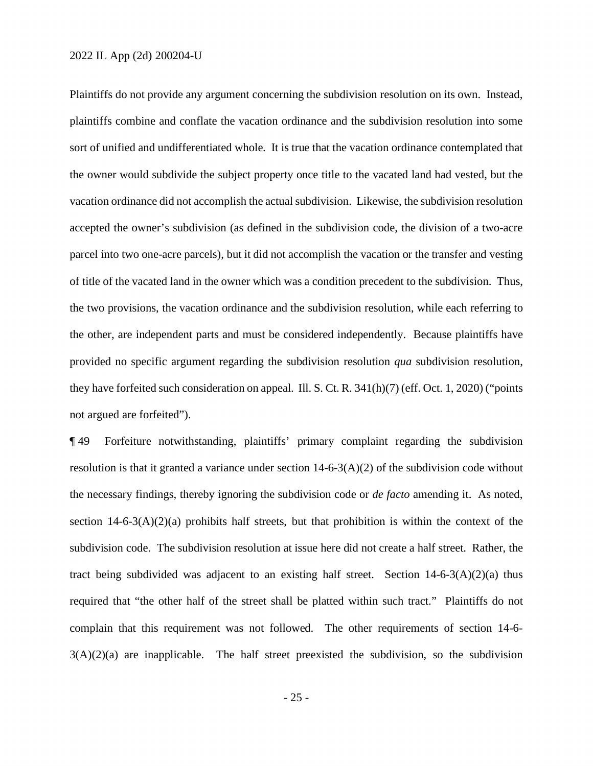Plaintiffs do not provide any argument concerning the subdivision resolution on its own. Instead, plaintiffs combine and conflate the vacation ordinance and the subdivision resolution into some sort of unified and undifferentiated whole. It is true that the vacation ordinance contemplated that the owner would subdivide the subject property once title to the vacated land had vested, but the vacation ordinance did not accomplish the actual subdivision. Likewise, the subdivision resolution accepted the owner's subdivision (as defined in the subdivision code, the division of a two-acre parcel into two one-acre parcels), but it did not accomplish the vacation or the transfer and vesting of title of the vacated land in the owner which was a condition precedent to the subdivision. Thus, the two provisions, the vacation ordinance and the subdivision resolution, while each referring to the other, are independent parts and must be considered independently. Because plaintiffs have provided no specific argument regarding the subdivision resolution *qua* subdivision resolution, they have forfeited such consideration on appeal. Ill. S. Ct. R. 341(h)(7) (eff. Oct. 1, 2020) ("points not argued are forfeited").

¶ 49 Forfeiture notwithstanding, plaintiffs' primary complaint regarding the subdivision resolution is that it granted a variance under section  $14-6-3(A)(2)$  of the subdivision code without the necessary findings, thereby ignoring the subdivision code or *de facto* amending it. As noted, section  $14-6-3(A)(2)(a)$  prohibits half streets, but that prohibition is within the context of the subdivision code. The subdivision resolution at issue here did not create a half street. Rather, the tract being subdivided was adjacent to an existing half street. Section  $14-6-3(A)(2)(a)$  thus required that "the other half of the street shall be platted within such tract." Plaintiffs do not complain that this requirement was not followed. The other requirements of section 14-6-  $3(A)(2)(a)$  are inapplicable. The half street preexisted the subdivision, so the subdivision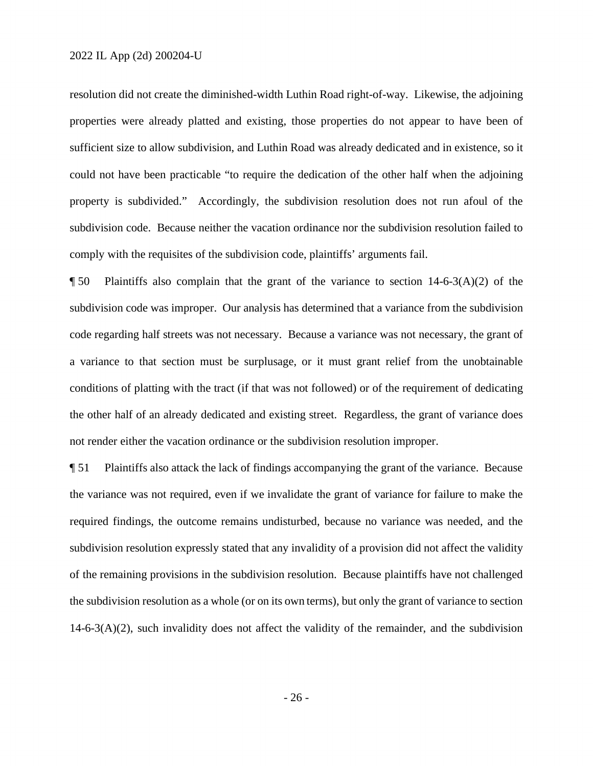resolution did not create the diminished-width Luthin Road right-of-way. Likewise, the adjoining properties were already platted and existing, those properties do not appear to have been of sufficient size to allow subdivision, and Luthin Road was already dedicated and in existence, so it could not have been practicable "to require the dedication of the other half when the adjoining property is subdivided." Accordingly, the subdivision resolution does not run afoul of the subdivision code. Because neither the vacation ordinance nor the subdivision resolution failed to comply with the requisites of the subdivision code, plaintiffs' arguments fail.

 $\P$  50 Plaintiffs also complain that the grant of the variance to section 14-6-3(A)(2) of the subdivision code was improper. Our analysis has determined that a variance from the subdivision code regarding half streets was not necessary. Because a variance was not necessary, the grant of a variance to that section must be surplusage, or it must grant relief from the unobtainable conditions of platting with the tract (if that was not followed) or of the requirement of dedicating the other half of an already dedicated and existing street. Regardless, the grant of variance does not render either the vacation ordinance or the subdivision resolution improper.

¶ 51 Plaintiffs also attack the lack of findings accompanying the grant of the variance. Because the variance was not required, even if we invalidate the grant of variance for failure to make the required findings, the outcome remains undisturbed, because no variance was needed, and the subdivision resolution expressly stated that any invalidity of a provision did not affect the validity of the remaining provisions in the subdivision resolution. Because plaintiffs have not challenged the subdivision resolution as a whole (or on its own terms), but only the grant of variance to section  $14-6-3(A)(2)$ , such invalidity does not affect the validity of the remainder, and the subdivision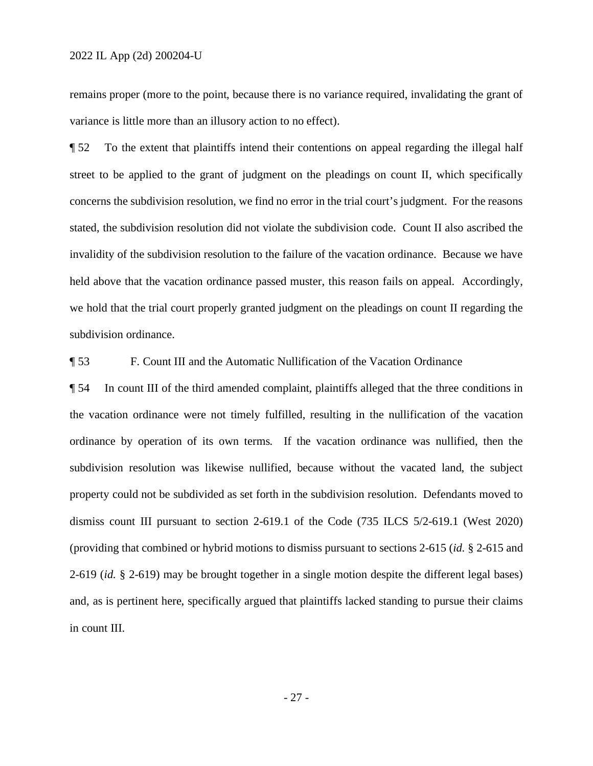remains proper (more to the point, because there is no variance required, invalidating the grant of variance is little more than an illusory action to no effect).

¶ 52 To the extent that plaintiffs intend their contentions on appeal regarding the illegal half street to be applied to the grant of judgment on the pleadings on count II, which specifically concerns the subdivision resolution, we find no error in the trial court's judgment. For the reasons stated, the subdivision resolution did not violate the subdivision code. Count II also ascribed the invalidity of the subdivision resolution to the failure of the vacation ordinance. Because we have held above that the vacation ordinance passed muster, this reason fails on appeal. Accordingly, we hold that the trial court properly granted judgment on the pleadings on count II regarding the subdivision ordinance.

¶ 53 F. Count III and the Automatic Nullification of the Vacation Ordinance

¶ 54 In count III of the third amended complaint, plaintiffs alleged that the three conditions in the vacation ordinance were not timely fulfilled, resulting in the nullification of the vacation ordinance by operation of its own terms. If the vacation ordinance was nullified, then the subdivision resolution was likewise nullified, because without the vacated land, the subject property could not be subdivided as set forth in the subdivision resolution. Defendants moved to dismiss count III pursuant to section 2-619.1 of the Code (735 ILCS 5/2-619.1 (West 2020) (providing that combined or hybrid motions to dismiss pursuant to sections 2-615 (*id.* § 2-615 and 2-619 (*id.* § 2-619) may be brought together in a single motion despite the different legal bases) and, as is pertinent here, specifically argued that plaintiffs lacked standing to pursue their claims in count III.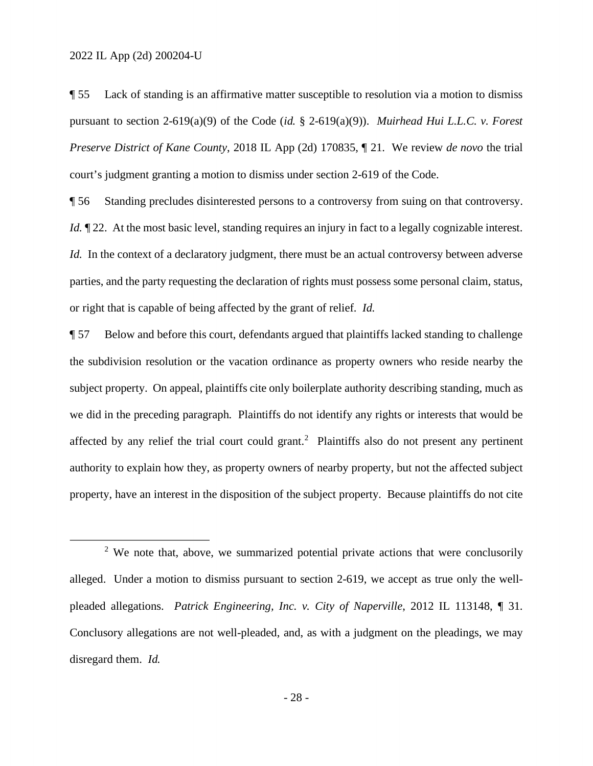¶ 55 Lack of standing is an affirmative matter susceptible to resolution via a motion to dismiss pursuant to section 2-619(a)(9) of the Code (*id.* § 2-619(a)(9)). *Muirhead Hui L.L.C. v. Forest Preserve District of Kane County*, 2018 IL App (2d) 170835, ¶ 21. We review *de novo* the trial court's judgment granting a motion to dismiss under section 2-619 of the Code.

¶ 56 Standing precludes disinterested persons to a controversy from suing on that controversy. *Id.*  $\mathbb{I}$  22. At the most basic level, standing requires an injury in fact to a legally cognizable interest. *Id.* In the context of a declaratory judgment, there must be an actual controversy between adverse parties, and the party requesting the declaration of rights must possess some personal claim, status, or right that is capable of being affected by the grant of relief. *Id.*

¶ 57 Below and before this court, defendants argued that plaintiffs lacked standing to challenge the subdivision resolution or the vacation ordinance as property owners who reside nearby the subject property. On appeal, plaintiffs cite only boilerplate authority describing standing, much as we did in the preceding paragraph. Plaintiffs do not identify any rights or interests that would be affected by any relief the trial court could grant.<sup>2</sup> Plaintiffs also do not present any pertinent authority to explain how they, as property owners of nearby property, but not the affected subject property, have an interest in the disposition of the subject property. Because plaintiffs do not cite

<sup>&</sup>lt;sup>2</sup> We note that, above, we summarized potential private actions that were conclusorily alleged. Under a motion to dismiss pursuant to section 2-619, we accept as true only the wellpleaded allegations. *Patrick Engineering, Inc. v. City of Naperville*, 2012 IL 113148, ¶ 31. Conclusory allegations are not well-pleaded, and, as with a judgment on the pleadings, we may disregard them. *Id.*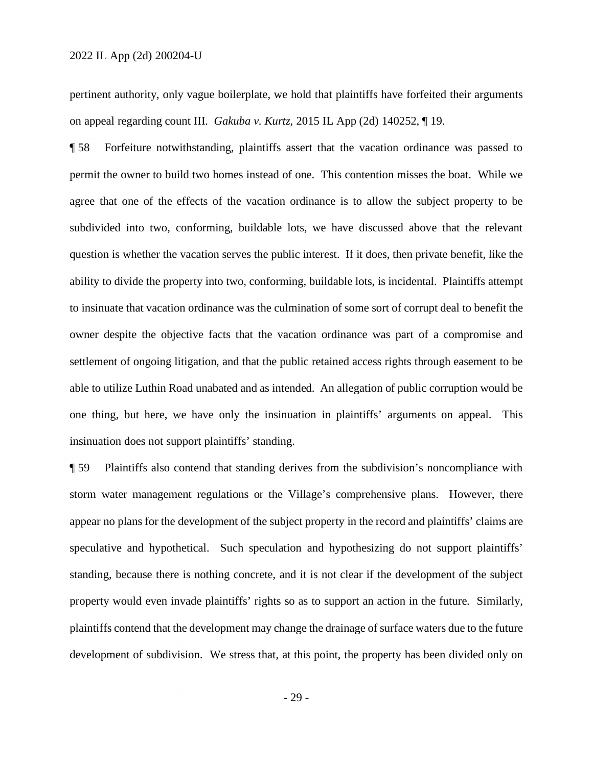pertinent authority, only vague boilerplate, we hold that plaintiffs have forfeited their arguments on appeal regarding count III. *Gakuba v. Kurtz*, 2015 IL App (2d) 140252, ¶ 19.

¶ 58 Forfeiture notwithstanding, plaintiffs assert that the vacation ordinance was passed to permit the owner to build two homes instead of one. This contention misses the boat. While we agree that one of the effects of the vacation ordinance is to allow the subject property to be subdivided into two, conforming, buildable lots, we have discussed above that the relevant question is whether the vacation serves the public interest. If it does, then private benefit, like the ability to divide the property into two, conforming, buildable lots, is incidental. Plaintiffs attempt to insinuate that vacation ordinance was the culmination of some sort of corrupt deal to benefit the owner despite the objective facts that the vacation ordinance was part of a compromise and settlement of ongoing litigation, and that the public retained access rights through easement to be able to utilize Luthin Road unabated and as intended. An allegation of public corruption would be one thing, but here, we have only the insinuation in plaintiffs' arguments on appeal. This insinuation does not support plaintiffs' standing.

¶ 59 Plaintiffs also contend that standing derives from the subdivision's noncompliance with storm water management regulations or the Village's comprehensive plans. However, there appear no plans for the development of the subject property in the record and plaintiffs' claims are speculative and hypothetical. Such speculation and hypothesizing do not support plaintiffs' standing, because there is nothing concrete, and it is not clear if the development of the subject property would even invade plaintiffs' rights so as to support an action in the future. Similarly, plaintiffs contend that the development may change the drainage of surface waters due to the future development of subdivision. We stress that, at this point, the property has been divided only on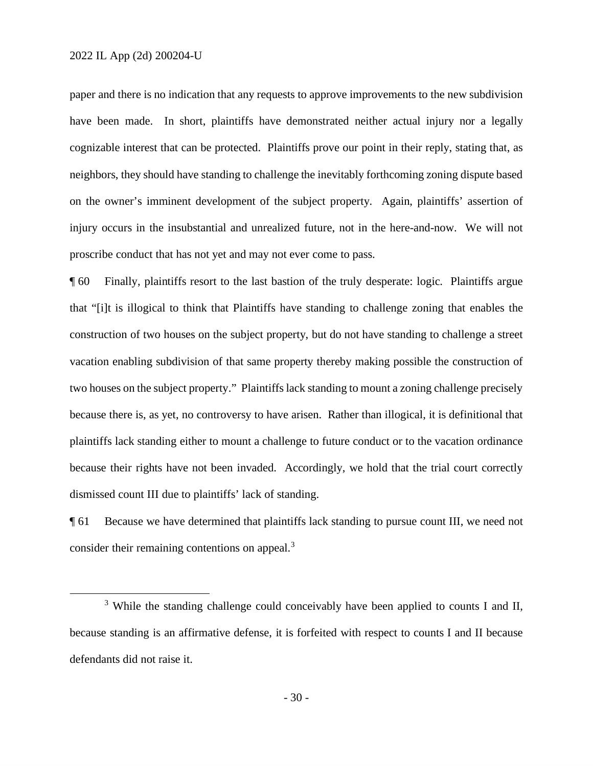paper and there is no indication that any requests to approve improvements to the new subdivision have been made. In short, plaintiffs have demonstrated neither actual injury nor a legally cognizable interest that can be protected. Plaintiffs prove our point in their reply, stating that, as neighbors, they should have standing to challenge the inevitably forthcoming zoning dispute based on the owner's imminent development of the subject property. Again, plaintiffs' assertion of injury occurs in the insubstantial and unrealized future, not in the here-and-now. We will not proscribe conduct that has not yet and may not ever come to pass.

¶ 60 Finally, plaintiffs resort to the last bastion of the truly desperate: logic. Plaintiffs argue that "[i]t is illogical to think that Plaintiffs have standing to challenge zoning that enables the construction of two houses on the subject property, but do not have standing to challenge a street vacation enabling subdivision of that same property thereby making possible the construction of two houses on the subject property." Plaintiffs lack standing to mount a zoning challenge precisely because there is, as yet, no controversy to have arisen. Rather than illogical, it is definitional that plaintiffs lack standing either to mount a challenge to future conduct or to the vacation ordinance because their rights have not been invaded. Accordingly, we hold that the trial court correctly dismissed count III due to plaintiffs' lack of standing.

¶ 61 Because we have determined that plaintiffs lack standing to pursue count III, we need not consider their remaining contentions on appeal.<sup>3</sup>

<sup>&</sup>lt;sup>3</sup> While the standing challenge could conceivably have been applied to counts I and II, because standing is an affirmative defense, it is forfeited with respect to counts I and II because defendants did not raise it.